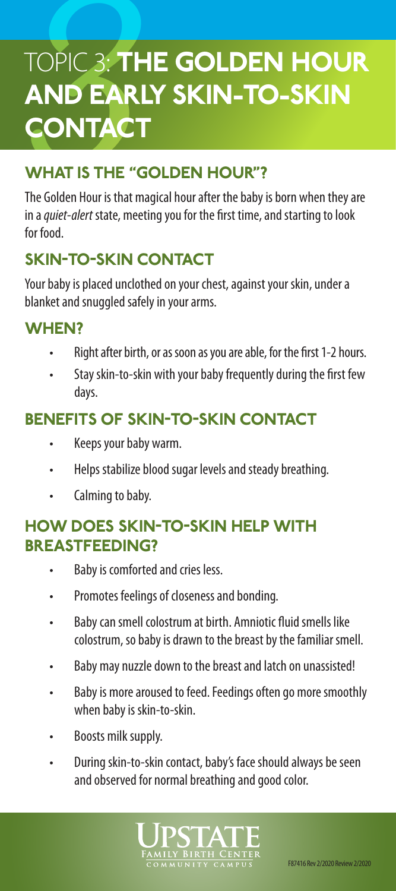# **TOPIC 3: THE GOLDEN HOUR** AND EARLY SKIN-TO-SKIN **CONTACT**

# WHAT IS THE "GOLDEN HOUR"?

The Golden Hour is that magical hour after the baby is born when they are in a *quiet-alert* state, meeting you for the first time, and starting to look for food.

# SKIN-TO-SKIN CONTACT

Your baby is placed unclothed on your chest, against your skin, under a blanket and snuggled safely in your arms.

## WHEN?

- Right after birth, or as soon as you are able, for the first 1-2 hours.
- Stay skin-to-skin with your baby frequently during the first few days.

## BENEFITS OF SKIN-TO-SKIN CONTACT

- Keeps your baby warm.
- Helps stabilize blood sugar levels and steady breathing.
- Calming to baby.

#### HOW DOES SKIN-TO-SKIN HELP WITH BREASTFEEDING?

- Baby is comforted and cries less.
- Promotes feelings of closeness and bonding.
- Baby can smell colostrum at birth. Amniotic fluid smells like colostrum, so baby is drawn to the breast by the familiar smell.
- Baby may nuzzle down to the breast and latch on unassisted!
- Baby is more aroused to feed. Feedings often go more smoothly when baby is skin-to-skin.
- Boosts milk supply.
- During skin-to-skin contact, baby's face should always be seen and observed for normal breathing and good color.